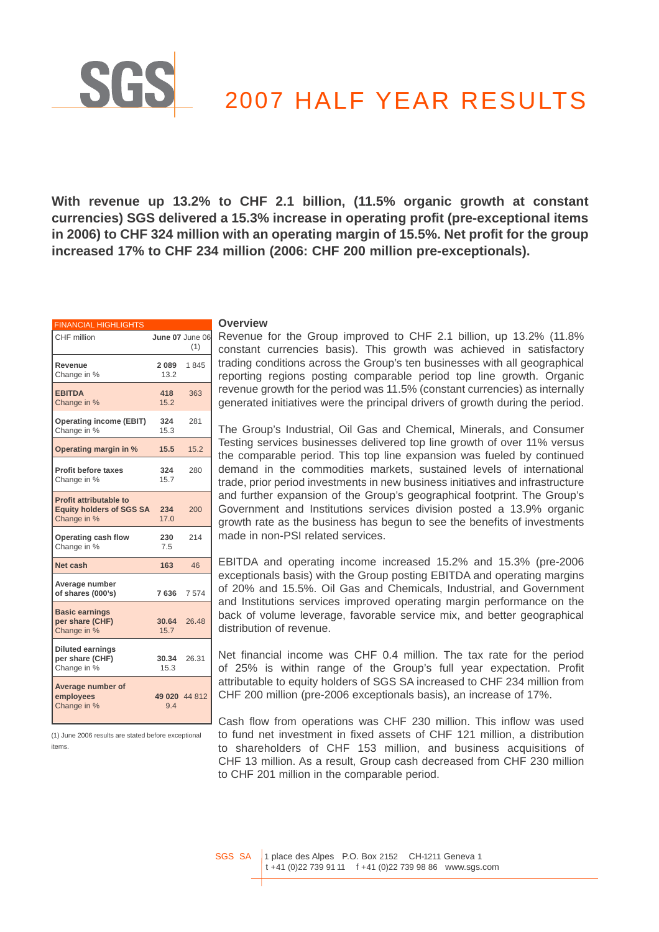# 2007 HALF YEAR RESULTS

**With revenue up 13.2% to CHF 2.1 billion, (11.5% organic growth at constant currencies) SGS delivered a 15.3% increase in operating profit (pre-exceptional items in 2006) to CHF 324 million with an operating margin of 15.5%. Net profit for the group increased 17% to CHF 234 million (2006: CHF 200 million pre-exceptionals).**

| <b>FINANCIAL HIGHLIGHTS</b>                                                     |               |                        |
|---------------------------------------------------------------------------------|---------------|------------------------|
| CHF million                                                                     |               | June 07 June 06<br>(1) |
| Revenue<br>Change in %                                                          | 2089<br>13.2  | 1845                   |
| <b>EBITDA</b><br>Change in %                                                    | 418<br>15.2   | 363                    |
| <b>Operating income (EBIT)</b><br>Change in %                                   | 324<br>15.3   | 281                    |
| Operating margin in %                                                           | 15.5          | 15.2                   |
| <b>Profit before taxes</b><br>Change in %                                       | 324<br>15.7   | 280                    |
| <b>Profit attributable to</b><br><b>Equity holders of SGS SA</b><br>Change in % | 234<br>17.0   | 200                    |
| Operating cash flow<br>Change in %                                              | 230<br>7.5    | 214                    |
| Net cash                                                                        | 163           | 46                     |
| Average number<br>of shares (000's)                                             | 7636          | 7574                   |
| <b>Basic earnings</b><br>per share (CHF)<br>Change in %                         | 30.64<br>15.7 | 26.48                  |
| <b>Diluted earnings</b><br>per share (CHF)<br>Change in %                       | 30.34<br>15.3 | 26.31                  |
| Average number of<br>employees<br>Change in %                                   | 9.4           | 49 020 44 812          |

(1) June 2006 results are stated before exceptional items.

#### **Overview**

Revenue for the Group improved to CHF 2.1 billion, up 13.2% (11.8% constant currencies basis). This growth was achieved in satisfactory trading conditions across the Group's ten businesses with all geographical reporting regions posting comparable period top line growth. Organic revenue growth for the period was 11.5% (constant currencies) as internally generated initiatives were the principal drivers of growth during the period.

The Group's Industrial, Oil Gas and Chemical, Minerals, and Consumer Testing services businesses delivered top line growth of over 11% versus the comparable period. This top line expansion was fueled by continued demand in the commodities markets, sustained levels of international trade, prior period investments in new business initiatives and infrastructure and further expansion of the Group's geographical footprint. The Group's Government and Institutions services division posted a 13.9% organic growth rate as the business has begun to see the benefits of investments made in non-PSI related services.

EBITDA and operating income increased 15.2% and 15.3% (pre-2006 exceptionals basis) with the Group posting EBITDA and operating margins of 20% and 15.5%. Oil Gas and Chemicals, Industrial, and Government and Institutions services improved operating margin performance on the back of volume leverage, favorable service mix, and better geographical distribution of revenue.

Net financial income was CHF 0.4 million. The tax rate for the period of 25% is within range of the Group's full year expectation. Profit attributable to equity holders of SGS SA increased to CHF 234 million from CHF 200 million (pre-2006 exceptionals basis), an increase of 17%.

 $\Box$  Cash flow from operations was CHF 230 million. This inflow was used to fund net investment in fixed assets of CHF 121 million, a distribution to shareholders of CHF 153 million, and business acquisitions of CHF 13 million. As a result, Group cash decreased from CHF 230 million to CHF 201 million in the comparable period.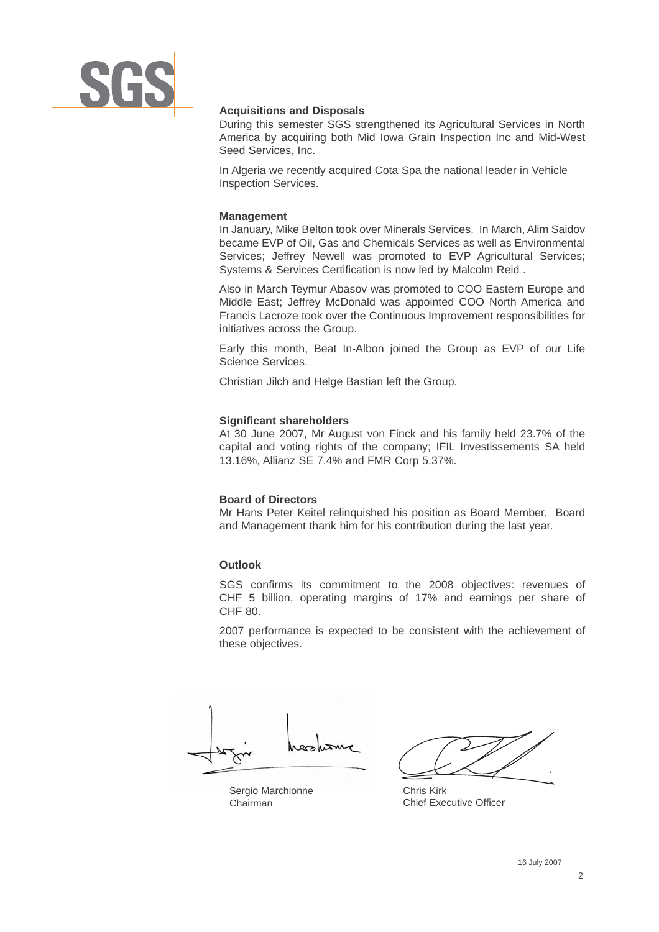

## **Acquisitions and Disposals**

During this semester SGS strengthened its Agricultural Services in North America by acquiring both Mid Iowa Grain Inspection Inc and Mid-West Seed Services, Inc.

In Algeria we recently acquired Cota Spa the national leader in Vehicle Inspection Services.

## **Management**

In January, Mike Belton took over Minerals Services. In March, Alim Saidov became EVP of Oil, Gas and Chemicals Services as well as Environmental Services; Jeffrey Newell was promoted to EVP Agricultural Services; Systems & Services Certification is now led by Malcolm Reid .

Also in March Teymur Abasov was promoted to COO Eastern Europe and Middle East; Jeffrey McDonald was appointed COO North America and Francis Lacroze took over the Continuous Improvement responsibilities for initiatives across the Group.

Early this month, Beat In-Albon joined the Group as EVP of our Life Science Services.

Christian Jilch and Helge Bastian left the Group.

## **Significant shareholders**

At 30 June 2007, Mr August von Finck and his family held 23.7% of the capital and voting rights of the company; IFIL Investissements SA held 13.16%, Allianz SE 7.4% and FMR Corp 5.37%.

## **Board of Directors**

Mr Hans Peter Keitel relinquished his position as Board Member. Board and Management thank him for his contribution during the last year.

## **Outlook**

SGS confirms its commitment to the 2008 objectives: revenues of CHF 5 billion, operating margins of 17% and earnings per share of CHF 80.

2007 performance is expected to be consistent with the achievement of these objectives.

Sergio Marchionne Chairman

Chris Kirk Chief Executive Officer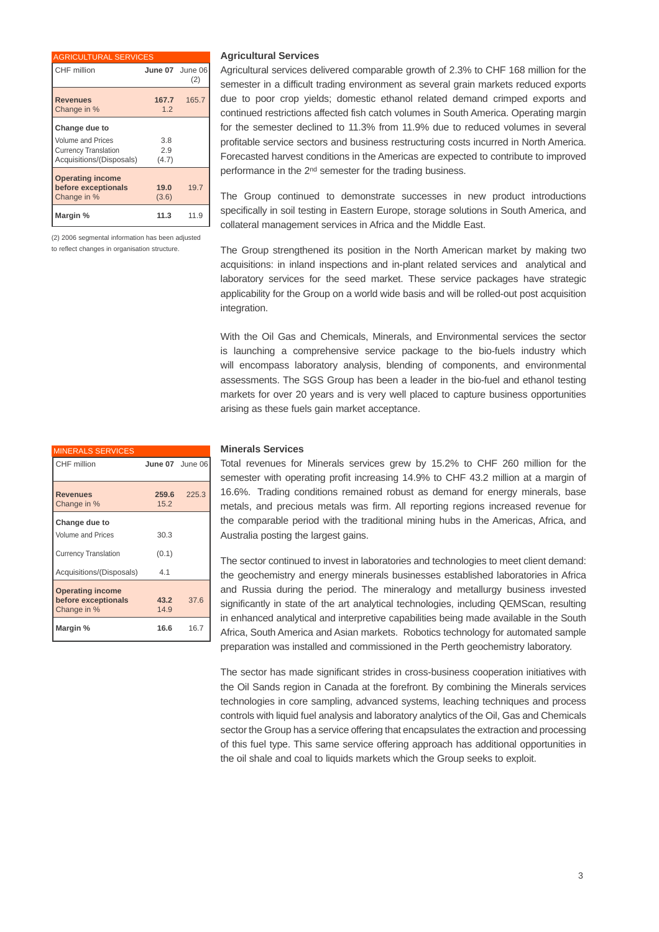| <b>AGRICULTURAL SERVICES</b>                                                                         |                     |       |
|------------------------------------------------------------------------------------------------------|---------------------|-------|
| CHF million                                                                                          | June 07 June 06     | (2)   |
| <b>Revenues</b><br>Change in %                                                                       | 167.7<br>12         | 165.7 |
| Change due to<br><b>Volume and Prices</b><br><b>Currency Translation</b><br>Acquisitions/(Disposals) | 3.8<br>2.9<br>(4.7) |       |
| <b>Operating income</b><br>before exceptionals<br>Change in %                                        | 19.0<br>(3.6)       | 19.7  |
| Margin %                                                                                             | 11.3                | 11.9  |

(2) 2006 segmental information has been adjusted to reflect changes in organisation structure.

## **Agricultural Services**

Agricultural services delivered comparable growth of 2.3% to CHF 168 million for the semester in a difficult trading environment as several grain markets reduced exports due to poor crop yields; domestic ethanol related demand crimped exports and continued restrictions affected fish catch volumes in South America. Operating margin for the semester declined to 11.3% from 11.9% due to reduced volumes in several profitable service sectors and business restructuring costs incurred in North America. Forecasted harvest conditions in the Americas are expected to contribute to improved performance in the 2nd semester for the trading business.

The Group continued to demonstrate successes in new product introductions specifically in soil testing in Eastern Europe, storage solutions in South America, and collateral management services in Africa and the Middle East.

The Group strengthened its position in the North American market by making two acquisitions: in inland inspections and in-plant related services and analytical and laboratory services for the seed market. These service packages have strategic applicability for the Group on a world wide basis and will be rolled-out post acquisition integration.

With the Oil Gas and Chemicals, Minerals, and Environmental services the sector is launching a comprehensive service package to the bio-fuels industry which will encompass laboratory analysis, blending of components, and environmental assessments. The SGS Group has been a leader in the bio-fuel and ethanol testing markets for over 20 years and is very well placed to capture business opportunities arising as these fuels gain market acceptance.

## **Minerals Services**

Total revenues for Minerals services grew by 15.2% to CHF 260 million for the semester with operating profit increasing 14.9% to CHF 43.2 million at a margin of 16.6%. Trading conditions remained robust as demand for energy minerals, base metals, and precious metals was firm. All reporting regions increased revenue for the comparable period with the traditional mining hubs in the Americas, Africa, and Australia posting the largest gains.

The sector continued to invest in laboratories and technologies to meet client demand: the geochemistry and energy minerals businesses established laboratories in Africa and Russia during the period. The mineralogy and metallurgy business invested significantly in state of the art analytical technologies, including QEMScan, resulting in enhanced analytical and interpretive capabilities being made available in the South Africa, South America and Asian markets. Robotics technology for automated sample preparation was installed and commissioned in the Perth geochemistry laboratory.

The sector has made significant strides in cross-business cooperation initiatives with the Oil Sands region in Canada at the forefront. By combining the Minerals services technologies in core sampling, advanced systems, leaching techniques and process controls with liquid fuel analysis and laboratory analytics of the Oil, Gas and Chemicals sector the Group has a service offering that encapsulates the extraction and processing of this fuel type. This same service offering approach has additional opportunities in the oil shale and coal to liquids markets which the Group seeks to exploit.

| <b>MINERALS SERVICES</b>                                      |                 |       |
|---------------------------------------------------------------|-----------------|-------|
| CHF million                                                   | June 07 June 06 |       |
| <b>Revenues</b><br>Change in %                                | 259.6<br>15.2   | 225.3 |
| Change due to<br><b>Volume and Prices</b>                     | 30.3            |       |
| <b>Currency Translation</b>                                   | (0.1)           |       |
| Acquisitions/(Disposals)                                      | 4.1             |       |
| <b>Operating income</b><br>before exceptionals<br>Change in % | 43.2<br>14.9    | 37.6  |
| Margin %                                                      | 16.6            | 16.7  |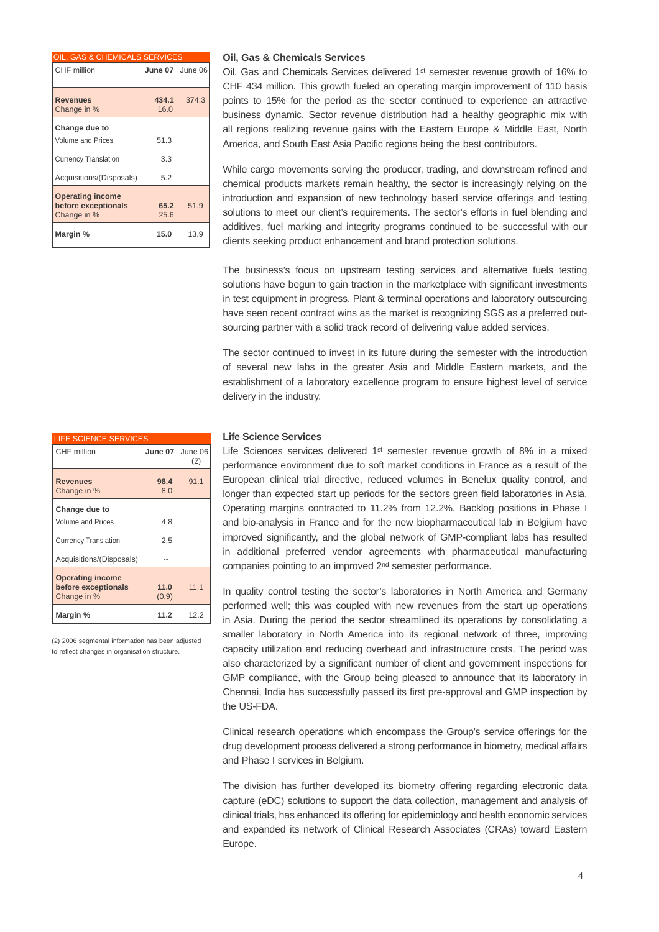| OIL, GAS & CHEMICALS SERVICES                                 |                 |       |
|---------------------------------------------------------------|-----------------|-------|
| CHF million                                                   | June 07 June 06 |       |
| <b>Revenues</b><br>Change in %                                | 434.1<br>16.0   | 374.3 |
| Change due to<br><b>Volume and Prices</b>                     | 51.3            |       |
| <b>Currency Translation</b>                                   | 3.3             |       |
| Acquisitions/(Disposals)                                      | 52              |       |
| <b>Operating income</b><br>before exceptionals<br>Change in % | 65.2<br>25.6    | 51.9  |
| Margin %                                                      | 15.0            | 13.9  |

| <b>LIFE SCIENCE SERVICES</b>                                                                         |                 |                 |
|------------------------------------------------------------------------------------------------------|-----------------|-----------------|
| CHF million                                                                                          | June 07 June 06 | (2)             |
| <b>Revenues</b><br>Change in %                                                                       | 98.4<br>8.0     | 91.1            |
| Change due to<br><b>Volume and Prices</b><br><b>Currency Translation</b><br>Acquisitions/(Disposals) | 48<br>2.5       |                 |
| <b>Operating income</b><br>before exceptionals<br>Change in %                                        | 11.0<br>(0.9)   | 11 <sub>1</sub> |
| Margin %                                                                                             | 11.2            | 12.2            |

(2) 2006 segmental information has been adjusted to reflect changes in organisation structure.

#### **Oil, Gas & Chemicals Services**

Oil, Gas and Chemicals Services delivered 1st semester revenue growth of 16% to CHF 434 million. This growth fueled an operating margin improvement of 110 basis points to 15% for the period as the sector continued to experience an attractive business dynamic. Sector revenue distribution had a healthy geographic mix with all regions realizing revenue gains with the Eastern Europe & Middle East, North America, and South East Asia Pacific regions being the best contributors.

While cargo movements serving the producer, trading, and downstream refined and chemical products markets remain healthy, the sector is increasingly relying on the introduction and expansion of new technology based service offerings and testing solutions to meet our client's requirements. The sector's efforts in fuel blending and additives, fuel marking and integrity programs continued to be successful with our clients seeking product enhancement and brand protection solutions.

The business's focus on upstream testing services and alternative fuels testing solutions have begun to gain traction in the marketplace with significant investments in test equipment in progress. Plant & terminal operations and laboratory outsourcing have seen recent contract wins as the market is recognizing SGS as a preferred outsourcing partner with a solid track record of delivering value added services.

The sector continued to invest in its future during the semester with the introduction of several new labs in the greater Asia and Middle Eastern markets, and the establishment of a laboratory excellence program to ensure highest level of service delivery in the industry.

## **Life Science Services**

Life Sciences services delivered 1st semester revenue growth of 8% in a mixed performance environment due to soft market conditions in France as a result of the European clinical trial directive, reduced volumes in Benelux quality control, and longer than expected start up periods for the sectors green field laboratories in Asia. Operating margins contracted to 11.2% from 12.2%. Backlog positions in Phase I and bio-analysis in France and for the new biopharmaceutical lab in Belgium have improved significantly, and the global network of GMP-compliant labs has resulted in additional preferred vendor agreements with pharmaceutical manufacturing companies pointing to an improved 2nd semester performance.

In quality control testing the sector's laboratories in North America and Germany performed well; this was coupled with new revenues from the start up operations in Asia. During the period the sector streamlined its operations by consolidating a smaller laboratory in North America into its regional network of three, improving capacity utilization and reducing overhead and infrastructure costs. The period was also characterized by a significant number of client and government inspections for GMP compliance, with the Group being pleased to announce that its laboratory in Chennai, India has successfully passed its first pre-approval and GMP inspection by the US-FDA.

Clinical research operations which encompass the Group's service offerings for the drug development process delivered a strong performance in biometry, medical affairs and Phase I services in Belgium.

The division has further developed its biometry offering regarding electronic data capture (eDC) solutions to support the data collection, management and analysis of clinical trials, has enhanced its offering for epidemiology and health economic services and expanded its network of Clinical Research Associates (CRAs) toward Eastern Europe.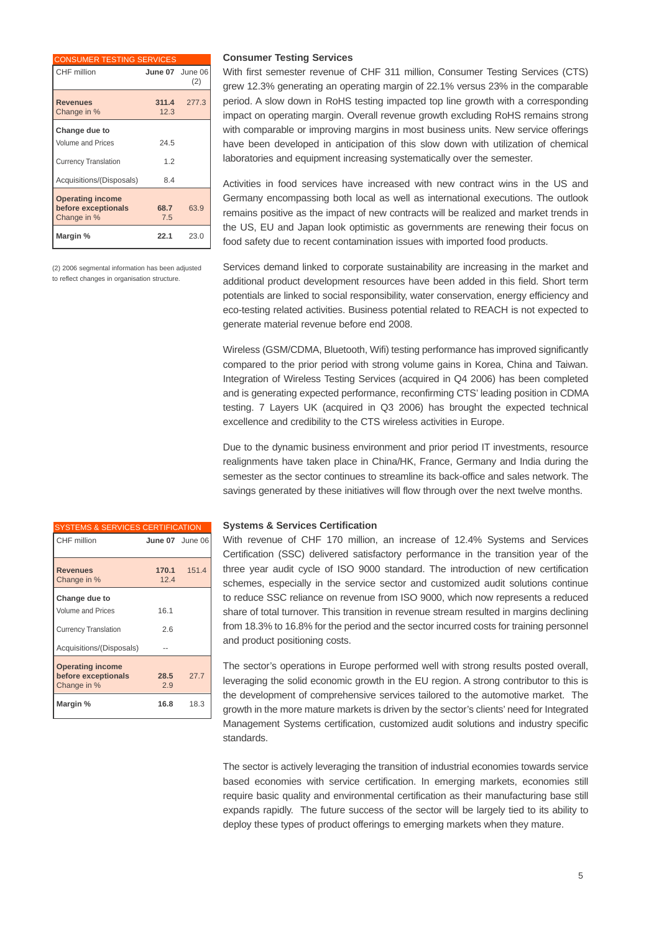| <b>CONSUMER TESTING SERVICES</b>                              |                        |       |
|---------------------------------------------------------------|------------------------|-------|
| CHF million                                                   | <b>June 07</b> June 06 | (2)   |
| <b>Revenues</b><br>Change in %                                | 311.4<br>12.3          | 277.3 |
| Change due to<br><b>Volume and Prices</b>                     | 24.5                   |       |
| <b>Currency Translation</b>                                   | 1.2                    |       |
| Acquisitions/(Disposals)                                      | 8.4                    |       |
| <b>Operating income</b><br>before exceptionals<br>Change in % | 68.7<br>7.5            | 63.9  |
| Margin %                                                      | 22.1                   | 23.0  |

(2) 2006 segmental information has been adjusted to reflect changes in organisation structure.

### **Consumer Testing Services**

With first semester revenue of CHF 311 million, Consumer Testing Services (CTS) grew 12.3% generating an operating margin of 22.1% versus 23% in the comparable period. A slow down in RoHS testing impacted top line growth with a corresponding impact on operating margin. Overall revenue growth excluding RoHS remains strong with comparable or improving margins in most business units. New service offerings have been developed in anticipation of this slow down with utilization of chemical laboratories and equipment increasing systematically over the semester.

Activities in food services have increased with new contract wins in the US and Germany encompassing both local as well as international executions. The outlook remains positive as the impact of new contracts will be realized and market trends in the US, EU and Japan look optimistic as governments are renewing their focus on food safety due to recent contamination issues with imported food products.

Services demand linked to corporate sustainability are increasing in the market and additional product development resources have been added in this field. Short term potentials are linked to social responsibility, water conservation, energy efficiency and eco-testing related activities. Business potential related to REACH is not expected to generate material revenue before end 2008.

Wireless (GSM/CDMA, Bluetooth, Wifi) testing performance has improved significantly compared to the prior period with strong volume gains in Korea, China and Taiwan. Integration of Wireless Testing Services (acquired in Q4 2006) has been completed and is generating expected performance, reconfirming CTS' leading position in CDMA testing. 7 Layers UK (acquired in Q3 2006) has brought the expected technical excellence and credibility to the CTS wireless activities in Europe.

Due to the dynamic business environment and prior period IT investments, resource realignments have taken place in China/HK, France, Germany and India during the semester as the sector continues to streamline its back-office and sales network. The savings generated by these initiatives will flow through over the next twelve months.

| <b>SYSTEMS &amp; SERVICES CERTIFICATION</b>                                                          |                 |             |
|------------------------------------------------------------------------------------------------------|-----------------|-------------|
| CHF million                                                                                          | June 07 June 06 |             |
| <b>Revenues</b><br>Change in %                                                                       | 12.4            | 170.1 151.4 |
| Change due to<br><b>Volume and Prices</b><br><b>Currency Translation</b><br>Acquisitions/(Disposals) | 16.1<br>2.6     |             |
| <b>Operating income</b><br>before exceptionals<br>Change in %                                        | 28.5<br>2.9     | 27.7        |
| Margin %                                                                                             | 16.8            | 18.3        |

## **Systems & Services Certification**

With revenue of CHF 170 million, an increase of 12.4% Systems and Services Certification (SSC) delivered satisfactory performance in the transition year of the three year audit cycle of ISO 9000 standard. The introduction of new certification schemes, especially in the service sector and customized audit solutions continue to reduce SSC reliance on revenue from ISO 9000, which now represents a reduced share of total turnover. This transition in revenue stream resulted in margins declining from 18.3% to 16.8% for the period and the sector incurred costs for training personnel and product positioning costs.

The sector's operations in Europe performed well with strong results posted overall, leveraging the solid economic growth in the EU region. A strong contributor to this is the development of comprehensive services tailored to the automotive market. The growth in the more mature markets is driven by the sector's clients' need for Integrated Management Systems certification, customized audit solutions and industry specific standards.

The sector is actively leveraging the transition of industrial economies towards service based economies with service certification. In emerging markets, economies still require basic quality and environmental certification as their manufacturing base still expands rapidly. The future success of the sector will be largely tied to its ability to deploy these types of product offerings to emerging markets when they mature.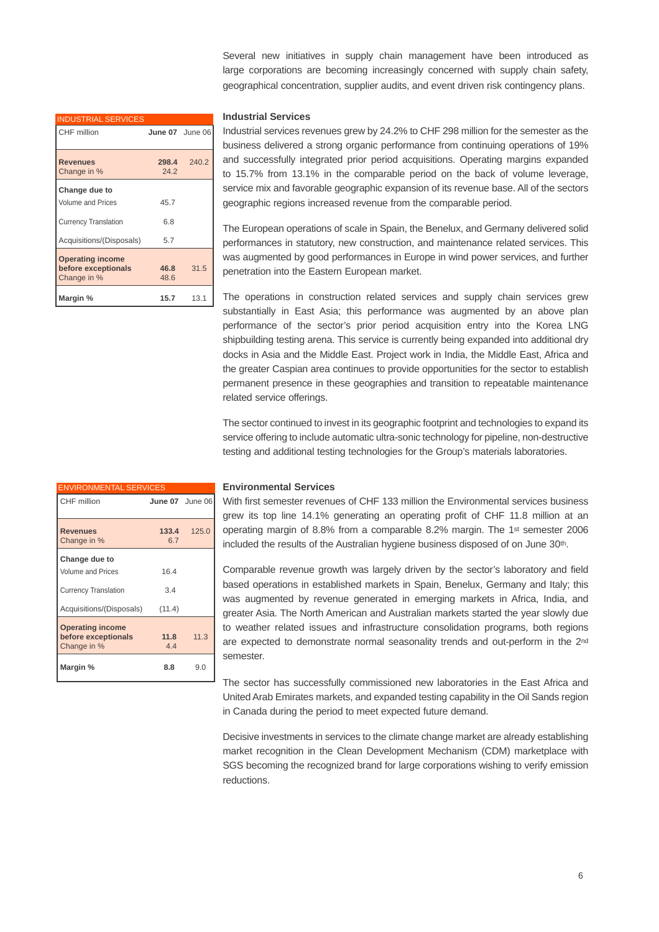| <b>INDUSTRIAL SERVICES</b>                                    |                 |       |
|---------------------------------------------------------------|-----------------|-------|
| CHF million                                                   | June 07 June 06 |       |
| <b>Revenues</b><br>Change in %                                | 298.4<br>24.2   | 240.2 |
| Change due to<br>Volume and Prices                            | 45.7            |       |
| <b>Currency Translation</b>                                   | 6.8             |       |
| Acquisitions/(Disposals)                                      | 5.7             |       |
| <b>Operating income</b><br>before exceptionals<br>Change in % | 46.8<br>48.6    | 31.5  |
| Margin %                                                      | 15.7            | 13.1  |

#### **Industrial Services**

Industrial services revenues grew by 24.2% to CHF 298 million for the semester as the business delivered a strong organic performance from continuing operations of 19% and successfully integrated prior period acquisitions. Operating margins expanded to 15.7% from 13.1% in the comparable period on the back of volume leverage, service mix and favorable geographic expansion of its revenue base. All of the sectors geographic regions increased revenue from the comparable period.

Several new initiatives in supply chain management have been introduced as large corporations are becoming increasingly concerned with supply chain safety, geographical concentration, supplier audits, and event driven risk contingency plans.

The European operations of scale in Spain, the Benelux, and Germany delivered solid performances in statutory, new construction, and maintenance related services. This was augmented by good performances in Europe in wind power services, and further penetration into the Eastern European market.

The operations in construction related services and supply chain services grew substantially in East Asia; this performance was augmented by an above plan performance of the sector's prior period acquisition entry into the Korea LNG shipbuilding testing arena. This service is currently being expanded into additional dry docks in Asia and the Middle East. Project work in India, the Middle East, Africa and the greater Caspian area continues to provide opportunities for the sector to establish permanent presence in these geographies and transition to repeatable maintenance related service offerings.

The sector continued to invest in its geographic footprint and technologies to expand its service offering to include automatic ultra-sonic technology for pipeline, non-destructive testing and additional testing technologies for the Group's materials laboratories.

| <b>ENVIRONMENTAL SERVICES</b>                                 |                 |       |
|---------------------------------------------------------------|-----------------|-------|
| CHF million                                                   | June 07 June 06 |       |
| <b>Revenues</b><br>Change in %                                | 133.4<br>6.7    | 125.0 |
| Change due to<br><b>Volume and Prices</b>                     | 16.4            |       |
| <b>Currency Translation</b><br>Acquisitions/(Disposals)       | 3.4<br>(11.4)   |       |
| <b>Operating income</b><br>before exceptionals<br>Change in % | 11.8<br>4.4     | 11.3  |
| Margin %                                                      | 8.8             | 9.0   |

#### **Environmental Services**

With first semester revenues of CHF 133 million the Environmental services business grew its top line 14.1% generating an operating profit of CHF 11.8 million at an operating margin of 8.8% from a comparable 8.2% margin. The 1st semester 2006 included the results of the Australian hygiene business disposed of on June 30th.

Comparable revenue growth was largely driven by the sector's laboratory and field based operations in established markets in Spain, Benelux, Germany and Italy; this was augmented by revenue generated in emerging markets in Africa, India, and greater Asia. The North American and Australian markets started the year slowly due to weather related issues and infrastructure consolidation programs, both regions are expected to demonstrate normal seasonality trends and out-perform in the 2nd semester.

The sector has successfully commissioned new laboratories in the East Africa and United Arab Emirates markets, and expanded testing capability in the Oil Sands region in Canada during the period to meet expected future demand.

Decisive investments in services to the climate change market are already establishing market recognition in the Clean Development Mechanism (CDM) marketplace with SGS becoming the recognized brand for large corporations wishing to verify emission reductions.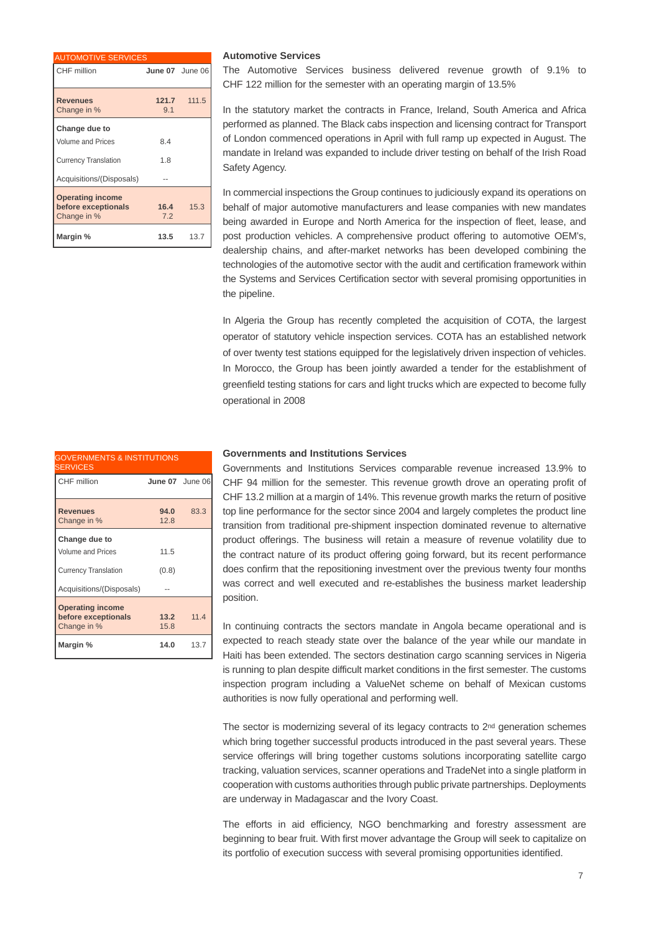| <b>AUTOMOTIVE SERVICES</b>                                    |                 |             |
|---------------------------------------------------------------|-----------------|-------------|
| CHF million                                                   | June 07 June 06 |             |
| <b>Revenues</b><br>Change in %                                | 9.1             | 121.7 111.5 |
| Change due to<br><b>Volume and Prices</b>                     | 8.4             |             |
| <b>Currency Translation</b>                                   | 1.8             |             |
| Acquisitions/(Disposals)                                      |                 |             |
| <b>Operating income</b><br>before exceptionals<br>Change in % | 16.4<br>7.2     | 15.3        |
| Margin %                                                      | 13.5            | 13.7        |

#### AUTOMOTIVE SERVICES **Automotive Services**

The Automotive Services business delivered revenue growth of 9.1% to CHF 122 million for the semester with an operating margin of 13.5%

In the statutory market the contracts in France, Ireland, South America and Africa performed as planned. The Black cabs inspection and licensing contract for Transport of London commenced operations in April with full ramp up expected in August. The mandate in Ireland was expanded to include driver testing on behalf of the Irish Road Safety Agency.

In commercial inspections the Group continues to judiciously expand its operations on behalf of major automotive manufacturers and lease companies with new mandates being awarded in Europe and North America for the inspection of fleet, lease, and post production vehicles. A comprehensive product offering to automotive OEM's, dealership chains, and after-market networks has been developed combining the technologies of the automotive sector with the audit and certification framework within the Systems and Services Certification sector with several promising opportunities in the pipeline.

In Algeria the Group has recently completed the acquisition of COTA, the largest operator of statutory vehicle inspection services. COTA has an established network of over twenty test stations equipped for the legislatively driven inspection of vehicles. In Morocco, the Group has been jointly awarded a tender for the establishment of greenfield testing stations for cars and light trucks which are expected to become fully operational in 2008

| <b>Governments and Institutions Services</b> |  |  |
|----------------------------------------------|--|--|
|----------------------------------------------|--|--|

Governments and Institutions Services comparable revenue increased 13.9% to CHF 94 million for the semester. This revenue growth drove an operating profit of CHF 13.2 million at a margin of 14%. This revenue growth marks the return of positive top line performance for the sector since 2004 and largely completes the product line transition from traditional pre-shipment inspection dominated revenue to alternative product offerings. The business will retain a measure of revenue volatility due to the contract nature of its product offering going forward, but its recent performance does confirm that the repositioning investment over the previous twenty four months was correct and well executed and re-establishes the business market leadership position.

In continuing contracts the sectors mandate in Angola became operational and is expected to reach steady state over the balance of the year while our mandate in Haiti has been extended. The sectors destination cargo scanning services in Nigeria is running to plan despite difficult market conditions in the first semester. The customs inspection program including a ValueNet scheme on behalf of Mexican customs authorities is now fully operational and performing well.

The sector is modernizing several of its legacy contracts to 2nd generation schemes which bring together successful products introduced in the past several years. These service offerings will bring together customs solutions incorporating satellite cargo tracking, valuation services, scanner operations and TradeNet into a single platform in cooperation with customs authorities through public private partnerships. Deployments are underway in Madagascar and the Ivory Coast.

The efforts in aid efficiency, NGO benchmarking and forestry assessment are beginning to bear fruit. With first mover advantage the Group will seek to capitalize on its portfolio of execution success with several promising opportunities identified.

| CHF million                                                   | June 07 June 06 |      |
|---------------------------------------------------------------|-----------------|------|
| <b>Revenues</b><br>Change in %                                | 94.0<br>12.8    | 83.3 |
| Change due to<br><b>Volume and Prices</b>                     | 11.5            |      |
| <b>Currency Translation</b><br>Acquisitions/(Disposals)       | (0.8)           |      |
| <b>Operating income</b><br>before exceptionals<br>Change in % | 13.2<br>15.8    | 11.4 |
| Margin %                                                      | 14.0            | 13.7 |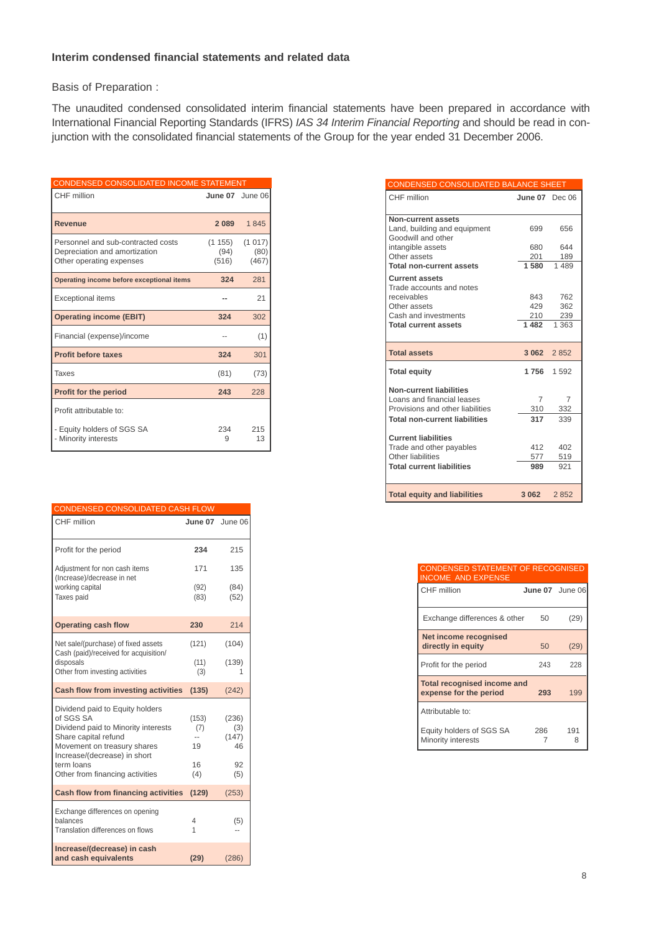## **Interim condensed financial statements and related data**

Basis of Preparation :

The unaudited condensed consolidated interim financial statements have been prepared in accordance with International Financial Reporting Standards (IFRS) *IAS 34 Interim Financial Reporting* and should be read in conjunction with the consolidated financial statements of the Group for the year ended 31 December 2006.

| CONDENSED CONSOLIDATED INCOME STATEMENT                                                         |                         |                         |
|-------------------------------------------------------------------------------------------------|-------------------------|-------------------------|
| CHF million                                                                                     |                         | June 07 June 06         |
| <b>Revenue</b>                                                                                  | 2089                    | 1845                    |
| Personnel and sub-contracted costs<br>Depreciation and amortization<br>Other operating expenses | (1155)<br>(94)<br>(516) | (1017)<br>(80)<br>(467) |
| Operating income before exceptional items                                                       | 324                     | 281                     |
| <b>Exceptional items</b>                                                                        |                         | 21                      |
| <b>Operating income (EBIT)</b>                                                                  | 324                     | 302                     |
| Financial (expense)/income                                                                      |                         | (1)                     |
| <b>Profit before taxes</b>                                                                      | 324                     | 301                     |
| Taxes                                                                                           | (81)                    | (73)                    |
| <b>Profit for the period</b>                                                                    | 243                     | 228                     |
| Profit attributable to:                                                                         |                         |                         |
| - Equity holders of SGS SA<br>- Minority interests                                              | 234<br>9                | 215<br>13               |

| <b>CONDENSED CONSOLIDATED CASH FLOW</b>                                                                                                                                    |                    |                             |
|----------------------------------------------------------------------------------------------------------------------------------------------------------------------------|--------------------|-----------------------------|
| CHF million                                                                                                                                                                | June 07            | June 06                     |
| Profit for the period                                                                                                                                                      | 234                | 215                         |
| Adjustment for non cash items<br>(Increase)/decrease in net                                                                                                                | 171                | 135                         |
| working capital<br>Taxes paid                                                                                                                                              | (92)<br>(83)       | (84)<br>(52)                |
| <b>Operating cash flow</b>                                                                                                                                                 | 230                | 214                         |
| Net sale/(purchase) of fixed assets<br>Cash (paid)/received for acquisition/                                                                                               | (121)              | (104)                       |
| disposals<br>Other from investing activities                                                                                                                               | (11)<br>(3)        | (139)                       |
| Cash flow from investing activities                                                                                                                                        | (135)              | (242)                       |
| Dividend paid to Equity holders<br>of SGS SA<br>Dividend paid to Minority interests<br>Share capital refund<br>Movement on treasury shares<br>Increase/(decrease) in short | (153)<br>(7)<br>19 | (236)<br>(3)<br>(147)<br>46 |
| term loans<br>Other from financing activities                                                                                                                              | 16<br>(4)          | 92<br>(5)                   |
| <b>Cash flow from financing activities</b>                                                                                                                                 | (129)              | (253)                       |
| Exchange differences on opening<br>balances<br>Translation differences on flows                                                                                            | 4<br>1             | (5)                         |
| Increase/(decrease) in cash<br>and cash equivalents                                                                                                                        | (29)               | (286)                       |

| CONDENSED CONSOLIDATED BALANCE SHEET                         |                       |         |
|--------------------------------------------------------------|-----------------------|---------|
| CHF million                                                  | <b>June 07</b> Dec 06 |         |
| Non-current assets                                           |                       |         |
| Land, building and equipment<br>Goodwill and other           | 699                   | 656     |
| intangible assets                                            | 680                   | 644     |
| Other assets                                                 | 201                   | 189     |
| <b>Total non-current assets</b>                              | 1 580                 | 1 489   |
| <b>Current assets</b><br>Trade accounts and notes            |                       |         |
| receivables                                                  | 843                   | 762     |
| Other assets                                                 | 429                   | 362     |
| Cash and investments                                         |                       | 210 239 |
| <b>Total current assets</b>                                  | 1 4 8 2               | 1 363   |
| <b>Total assets</b>                                          | 3 062 2 852           |         |
| <b>Total equity</b>                                          | 1 756                 | 1592    |
| <b>Non-current liabilities</b><br>Loans and financial leases | 7                     | 7       |
| Provisions and other liabilities                             | 310                   | 332     |
| <b>Total non-current liabilities</b>                         | 317                   | 339     |
| <b>Current liabilities</b>                                   |                       |         |
| Trade and other payables                                     | 412                   | 402     |
| Other liabilities                                            | 577                   | 519     |
| <b>Total current liabilities</b>                             | 989                   | 921     |
| <b>Total equity and liabilities</b>                          | 3 0 6 2               | 2852    |

CONDENSED STATEMENT OF RECOGNISED INCOME AND EXPENSE

| CHF million                                                  | June 07 June 06 |          |
|--------------------------------------------------------------|-----------------|----------|
| Exchange differences & other                                 | 50              | (29)     |
| Net income recognised<br>directly in equity                  | 50              | (29)     |
| Profit for the period                                        | 243             | 228      |
| <b>Total recognised income and</b><br>expense for the period | 293             | 199      |
| Attributable to:                                             |                 |          |
| Equity holders of SGS SA<br>Minority interests               | 286             | 191<br>8 |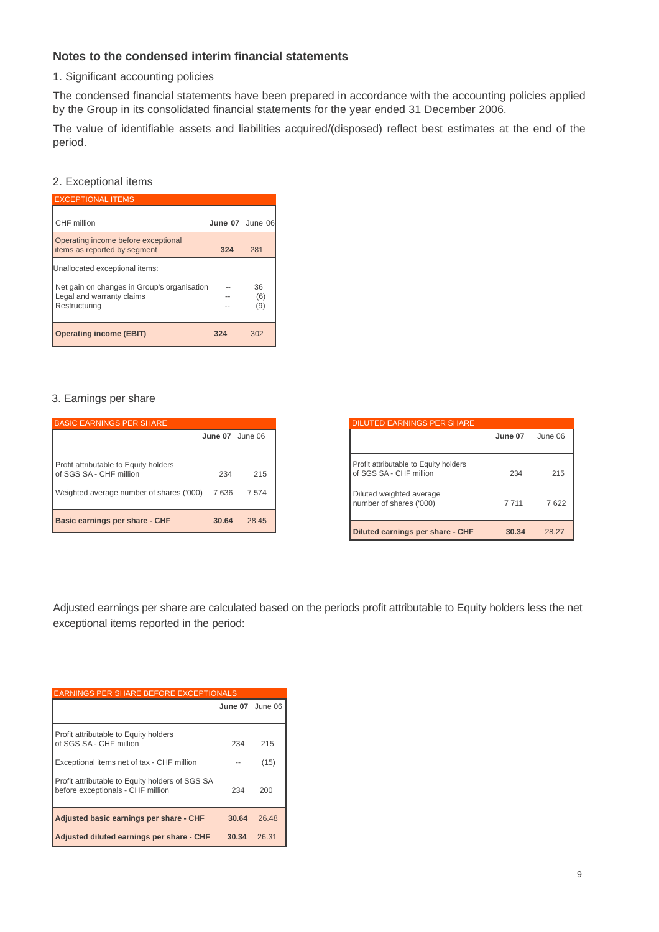## **Notes to the condensed interim financial statements**

1. Significant accounting policies

The condensed financial statements have been prepared in accordance with the accounting policies applied by the Group in its consolidated financial statements for the year ended 31 December 2006.

The value of identifiable assets and liabilities acquired/(disposed) reflect best estimates at the end of the period.

## 2. Exceptional items

| <b>EXCEPTIONAL ITEMS</b>                                                                  |                 |                  |
|-------------------------------------------------------------------------------------------|-----------------|------------------|
| CHF million                                                                               | June 07 June 06 |                  |
| Operating income before exceptional<br>items as reported by segment                       | 324             | 281              |
| Unallocated exceptional items:                                                            |                 |                  |
| Net gain on changes in Group's organisation<br>Legal and warranty claims<br>Restructuring |                 | 36<br>(6)<br>(9) |
| <b>Operating income (EBIT)</b>                                                            | 324             | 302              |

## 3. Earnings per share

| <b>BASIC EARNINGS PER SHARE</b>                                  |         |         |
|------------------------------------------------------------------|---------|---------|
|                                                                  | June 07 | June 06 |
| Profit attributable to Equity holders<br>of SGS SA - CHF million | 234     | 215     |
| Weighted average number of shares ('000)                         | 7 636   | 7574    |
| Basic earnings per share - CHF                                   | 30.64   | 28.45   |

| <b>DILUTED EARNINGS PER SHARE</b>                                                                                       |                |             |
|-------------------------------------------------------------------------------------------------------------------------|----------------|-------------|
|                                                                                                                         | June 07        | June 06     |
| Profit attributable to Equity holders<br>of SGS SA - CHF million<br>Diluted weighted average<br>number of shares ('000) | 234<br>7 7 1 1 | 215<br>7622 |
| Diluted earnings per share - CHF                                                                                        | 30.34          | 28.27       |

Adjusted earnings per share are calculated based on the periods profit attributable to Equity holders less the net exceptional items reported in the period:

| <b>EARNINGS PER SHARE BEFORE EXCEPTIONALS</b>                                        |                 |       |
|--------------------------------------------------------------------------------------|-----------------|-------|
|                                                                                      | June 07 June 06 |       |
|                                                                                      |                 |       |
| Profit attributable to Equity holders<br>of SGS SA - CHF million                     | 234             | 215   |
| Exceptional items net of tax - CHF million                                           |                 | (15)  |
| Profit attributable to Equity holders of SGS SA<br>before exceptionals - CHF million | 234             | 200   |
| Adjusted basic earnings per share - CHF                                              | 30.64           | 26.48 |
| Adjusted diluted earnings per share - CHF                                            | 30.34           | 26.31 |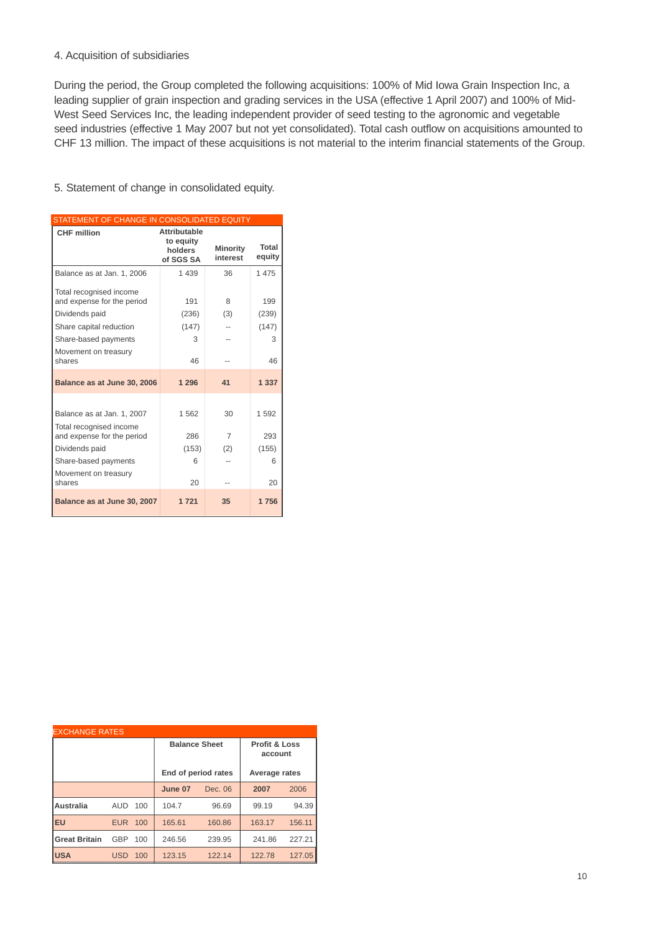## 4. Acquisition of subsidiaries

During the period, the Group completed the following acquisitions: 100% of Mid Iowa Grain Inspection Inc, a leading supplier of grain inspection and grading services in the USA (effective 1 April 2007) and 100% of Mid-West Seed Services Inc, the leading independent provider of seed testing to the agronomic and vegetable seed industries (effective 1 May 2007 but not yet consolidated). Total cash outflow on acquisitions amounted to CHF 13 million. The impact of these acquisitions is not material to the interim financial statements of the Group.

## 5. Statement of change in consolidated equity.

| STATEMENT OF CHANGE IN CONSOLIDATED EQUITY                                                                                                                   |                                                          |                             |                                  |  |  |
|--------------------------------------------------------------------------------------------------------------------------------------------------------------|----------------------------------------------------------|-----------------------------|----------------------------------|--|--|
| <b>CHF</b> million                                                                                                                                           | <b>Attributable</b><br>to equity<br>holders<br>of SGS SA | <b>Minority</b><br>interest | <b>Total</b><br>equity           |  |  |
| Balance as at Jan. 1, 2006                                                                                                                                   | 1 4 3 9                                                  | 36                          | 1 475                            |  |  |
| Total recognised income<br>and expense for the period<br>Dividends paid<br>Share capital reduction<br>Share-based payments<br>Movement on treasury<br>shares | 191<br>(236)<br>(147)<br>3<br>46                         | 8<br>(3)                    | 199<br>(239)<br>(147)<br>3<br>46 |  |  |
|                                                                                                                                                              |                                                          |                             |                                  |  |  |
| Balance as at June 30, 2006                                                                                                                                  | 1 2 9 6                                                  | 41                          | 1 3 3 7                          |  |  |
| Balance as at Jan. 1, 2007<br>Total recognised income<br>and expense for the period<br>Dividends paid<br>Share-based payments<br>Movement on treasury        | 1562<br>286<br>(153)<br>6                                | 30<br>$\overline{7}$<br>(2) | 1592<br>293<br>(155)<br>6        |  |  |
| shares                                                                                                                                                       | 20                                                       |                             | 20                               |  |  |
| Balance as at June 30, 2007                                                                                                                                  | 1 7 2 1                                                  | 35                          | 1756                             |  |  |

| <b>EXCHANGE RATES</b> |            |     |                      |         |                                     |        |
|-----------------------|------------|-----|----------------------|---------|-------------------------------------|--------|
|                       |            |     | <b>Balance Sheet</b> |         | <b>Profit &amp; Loss</b><br>account |        |
|                       |            |     | End of period rates  |         | Average rates                       |        |
|                       |            |     | June 07              | Dec. 06 | 2007                                | 2006   |
| <b>Australia</b>      | AUD.       | 100 | 104.7                | 96.69   | 99.19                               | 94.39  |
| EU                    | <b>EUR</b> | 100 | 165.61               | 160.86  | 163.17                              | 156.11 |
| <b>Great Britain</b>  | GBP        | 100 | 246.56               | 239.95  | 241.86                              | 227.21 |
| <b>USA</b>            | <b>USD</b> | 100 | 123.15               | 122.14  | 122.78                              | 127.05 |